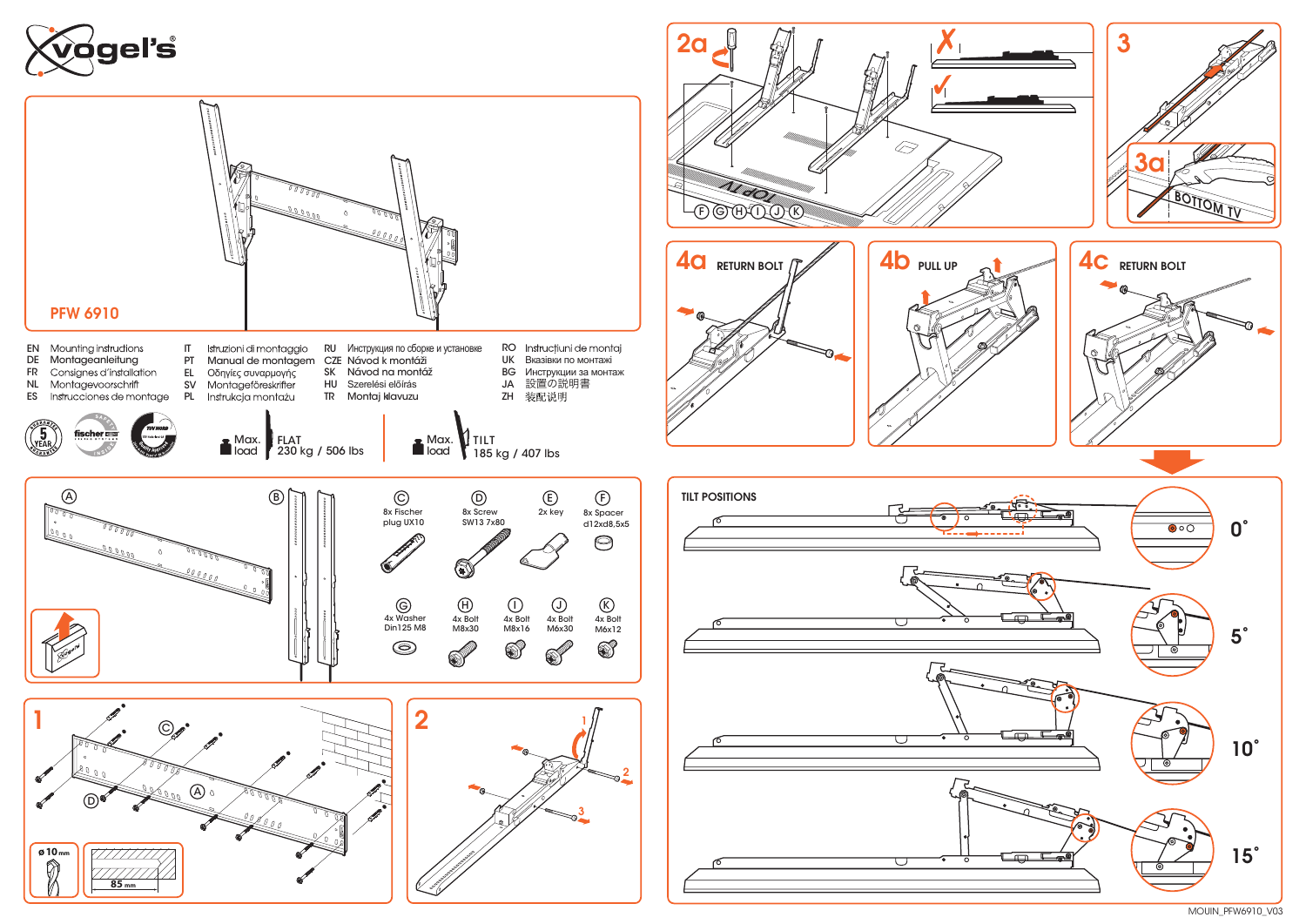